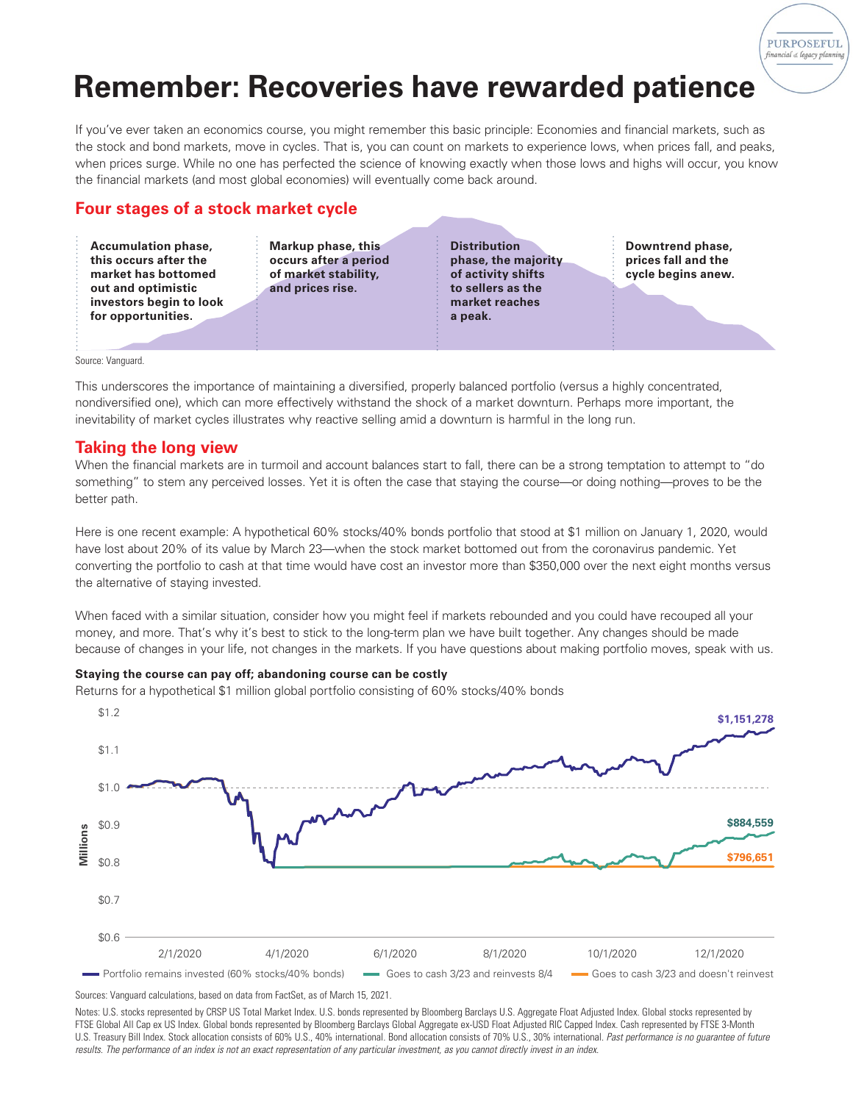# **Remember: Recoveries have rewarded patience**

If you've ever taken an economics course, you might remember this basic principle: Economies and financial markets, such as the stock and bond markets, move in cycles. That is, you can count on markets to experience lows, when prices fall, and peaks, when prices surge. While no one has perfected the science of knowing exactly when those lows and highs will occur, you know the financial markets (and most global economies) will eventually come back around.

# **Four stages of a stock market cycle**

**Accumulation phase, this occurs after the market has bottomed out and optimistic investors begin to look for opportunities.**

**Markup phase, this occurs after a period of market stability, and prices rise.**

**Distribution phase, the majority of activity shifts to sellers as the market reaches a peak.**

**Downtrend phase, prices fall and the cycle begins anew.** **PURPOSEFUL** financial & legacy planni

Source: Vanguard.

This underscores the importance of maintaining a diversified, properly balanced portfolio (versus a highly concentrated, nondiversified one), which can more effectively withstand the shock of a market downturn. Perhaps more important, the inevitability of market cycles illustrates why reactive selling amid a downturn is harmful in the long run.

### **Taking the long view**

When the financial markets are in turmoil and account balances start to fall, there can be a strong temptation to attempt to "do something" to stem any perceived losses. Yet it is often the case that staying the course—or doing nothing—proves to be the better path.

Here is one recent example: A hypothetical 60% stocks/40% bonds portfolio that stood at \$1 million on January 1, 2020, would have lost about 20% of its value by March 23—when the stock market bottomed out from the coronavirus pandemic. Yet converting the portfolio to cash at that time would have cost an investor more than \$350,000 over the next eight months versus the alternative of staying invested.

When faced with a similar situation, consider how you might feel if markets rebounded and you could have recouped all your money, and more. That's why it's best to stick to the long-term plan we have built together. Any changes should be made because of changes in your life, not changes in the markets. If you have questions about making portfolio moves, speak with us.

#### **Staying the course can pay off; abandoning course can be costly**

Returns for a hypothetical \$1 million global portfolio consisting of 60% stocks/40% bonds



Sources: Vanguard calculations, based on data from FactSet, as of March 15, 2021.

Notes: U.S. stocks represented by CRSP US Total Market Index. U.S. bonds represented by Bloomberg Barclays U.S. Aggregate Float Adjusted Index. Global stocks represented by FTSE Global All Cap ex US Index. Global bonds represented by Bloomberg Barclays Global Aggregate ex-USD Float Adjusted RIC Capped Index. Cash represented by FTSE 3-Month U.S. Treasury Bill Index. Stock allocation consists of 60% U.S., 40% international. Bond allocation consists of 70% U.S., 30% international. *Past performance is no guarantee of future results. The performance of an index is not an exact representation of any particular investment, as you cannot directly invest in an index.*